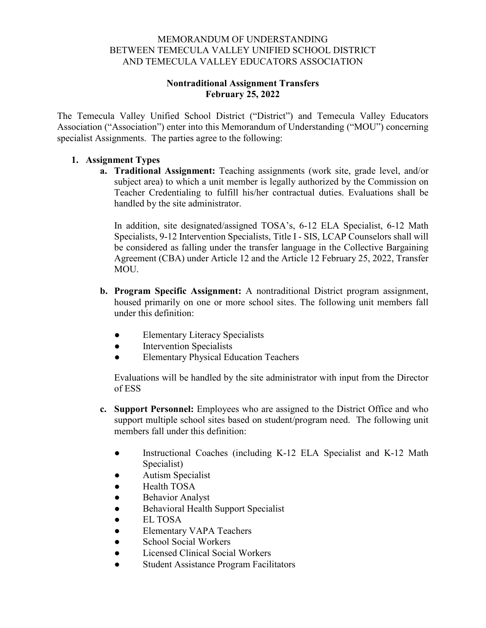#### MEMORANDUM OF UNDERSTANDING BETWEEN TEMECULA VALLEY UNIFIED SCHOOL DISTRICT AND TEMECULA VALLEY EDUCATORS ASSOCIATION

## **Nontraditional Assignment Transfers February 25, 2022**

The Temecula Valley Unified School District ("District") and Temecula Valley Educators Association ("Association") enter into this Memorandum of Understanding ("MOU") concerning specialist Assignments. The parties agree to the following:

## **1. Assignment Types**

**a. Traditional Assignment:** Teaching assignments (work site, grade level, and/or subject area) to which a unit member is legally authorized by the Commission on Teacher Credentialing to fulfill his/her contractual duties. Evaluations shall be handled by the site administrator.

In addition, site designated/assigned TOSA's, 6-12 ELA Specialist, 6-12 Math Specialists, 9-12 Intervention Specialists, Title I - SIS, LCAP Counselors shall will be considered as falling under the transfer language in the Collective Bargaining Agreement (CBA) under Article 12 and the Article 12 February 25, 2022, Transfer MOU.

- **b. Program Specific Assignment:** A nontraditional District program assignment, housed primarily on one or more school sites. The following unit members fall under this definition:
	- Elementary Literacy Specialists
	- Intervention Specialists
	- Elementary Physical Education Teachers

Evaluations will be handled by the site administrator with input from the Director of ESS

- **c. Support Personnel:** Employees who are assigned to the District Office and who support multiple school sites based on student/program need. The following unit members fall under this definition:
	- Instructional Coaches (including K-12 ELA Specialist and K-12 Math Specialist)
	- **Autism Specialist**
	- Health TOSA
	- Behavior Analyst
	- Behavioral Health Support Specialist
	- **EL TOSA**
	- Elementary VAPA Teachers
	- School Social Workers
	- Licensed Clinical Social Workers
	- **Student Assistance Program Facilitators**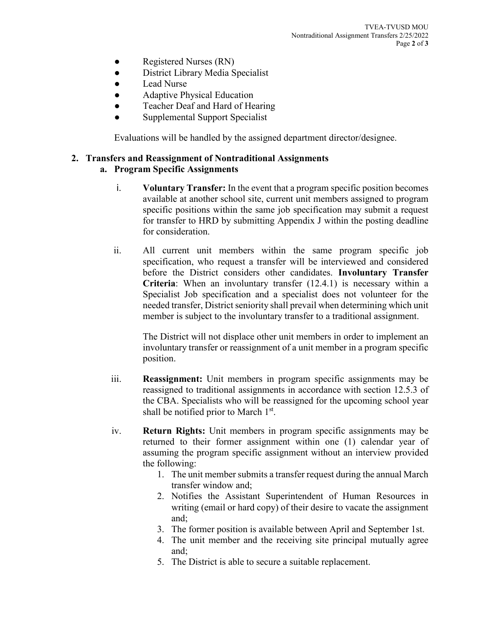- Registered Nurses (RN)
- District Library Media Specialist
- Lead Nurse
- Adaptive Physical Education
- Teacher Deaf and Hard of Hearing
- Supplemental Support Specialist

Evaluations will be handled by the assigned department director/designee.

# **2. Transfers and Reassignment of Nontraditional Assignments**

## **a. Program Specific Assignments**

- i. **Voluntary Transfer:** In the event that a program specific position becomes available at another school site, current unit members assigned to program specific positions within the same job specification may submit a request for transfer to HRD by submitting Appendix J within the posting deadline for consideration.
- ii. All current unit members within the same program specific job specification, who request a transfer will be interviewed and considered before the District considers other candidates. **Involuntary Transfer Criteria**: When an involuntary transfer (12.4.1) is necessary within a Specialist Job specification and a specialist does not volunteer for the needed transfer, District seniority shall prevail when determining which unit member is subject to the involuntary transfer to a traditional assignment.

The District will not displace other unit members in order to implement an involuntary transfer or reassignment of a unit member in a program specific position.

- iii. **Reassignment:** Unit members in program specific assignments may be reassigned to traditional assignments in accordance with section 12.5.3 of the CBA. Specialists who will be reassigned for the upcoming school year shall be notified prior to March  $1<sup>st</sup>$ .
- iv. **Return Rights:** Unit members in program specific assignments may be returned to their former assignment within one (1) calendar year of assuming the program specific assignment without an interview provided the following:
	- 1. The unit member submits a transfer request during the annual March transfer window and;
	- 2. Notifies the Assistant Superintendent of Human Resources in writing (email or hard copy) of their desire to vacate the assignment and;
	- 3. The former position is available between April and September 1st.
	- 4. The unit member and the receiving site principal mutually agree and;
	- 5. The District is able to secure a suitable replacement.